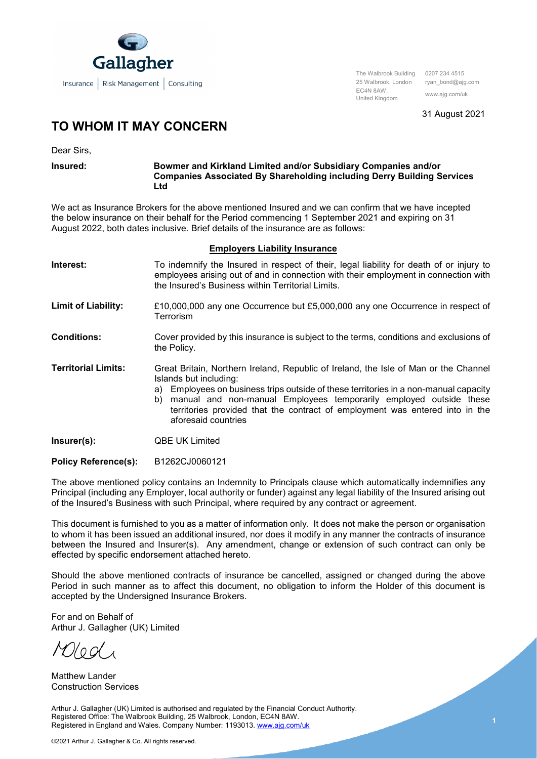

The Walbrook Building 0207 234 4515 25 Walbrook, London ryan\_bond@ajg.com EC4N 8AW, United Kingdom www.ajg.com/uk

31 August 2021

## **TO WHOM IT MAY CONCERN**

Dear Sirs,

## **Insured: Bowmer and Kirkland Limited and/or Subsidiary Companies and/or Companies Associated By Shareholding including Derry Building Services Ltd**

We act as Insurance Brokers for the above mentioned Insured and we can confirm that we have incepted the below insurance on their behalf for the Period commencing 1 September 2021 and expiring on 31 August 2022, both dates inclusive. Brief details of the insurance are as follows:

## **Employers Liability Insurance**

| Interest:                  | To indemnify the Insured in respect of their, legal liability for death of or injury to<br>employees arising out of and in connection with their employment in connection with<br>the Insured's Business within Territorial Limits.                                                                                                                                                       |
|----------------------------|-------------------------------------------------------------------------------------------------------------------------------------------------------------------------------------------------------------------------------------------------------------------------------------------------------------------------------------------------------------------------------------------|
| <b>Limit of Liability:</b> | £10,000,000 any one Occurrence but £5,000,000 any one Occurrence in respect of<br>Terrorism                                                                                                                                                                                                                                                                                               |
| <b>Conditions:</b>         | Cover provided by this insurance is subject to the terms, conditions and exclusions of<br>the Policy.                                                                                                                                                                                                                                                                                     |
| <b>Territorial Limits:</b> | Great Britain, Northern Ireland, Republic of Ireland, the Isle of Man or the Channel<br>Islands but including:<br>Employees on business trips outside of these territories in a non-manual capacity<br>a)<br>b) manual and non-manual Employees temporarily employed outside these<br>territories provided that the contract of employment was entered into in the<br>aforesaid countries |
| Insurer(s):                | <b>QBE UK Limited</b>                                                                                                                                                                                                                                                                                                                                                                     |

**Policy Reference(s):** B1262CJ0060121

The above mentioned policy contains an Indemnity to Principals clause which automatically indemnifies any Principal (including any Employer, local authority or funder) against any legal liability of the Insured arising out of the Insured's Business with such Principal, where required by any contract or agreement.

This document is furnished to you as a matter of information only. It does not make the person or organisation to whom it has been issued an additional insured, nor does it modify in any manner the contracts of insurance between the Insured and Insurer(s). Any amendment, change or extension of such contract can only be effected by specific endorsement attached hereto.

Should the above mentioned contracts of insurance be cancelled, assigned or changed during the above Period in such manner as to affect this document, no obligation to inform the Holder of this document is accepted by the Undersigned Insurance Brokers.

For and on Behalf of Arthur J. Gallagher (UK) Limited

Matthew Lander Construction Services

Arthur J. Gallagher (UK) Limited is authorised and regulated by the Financial Conduct Authority. Registered Office: The Walbrook Building, 25 Walbrook, London, EC4N 8AW. Registered in England and Wales. Company Number: 1193013[. www.ajg.com/uk](http://www.ajg.com/uk)